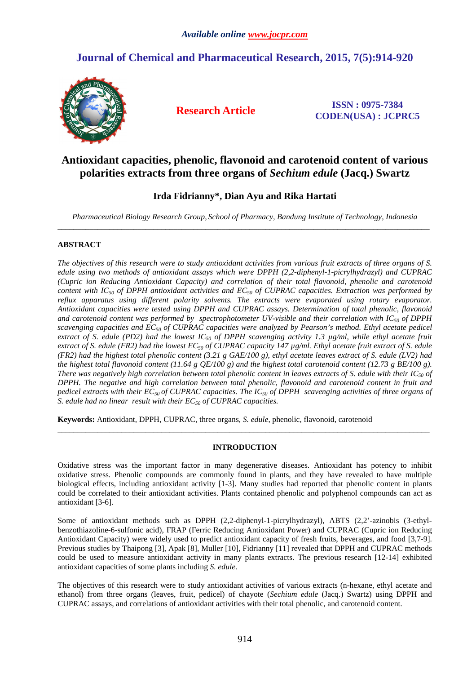# **Journal of Chemical and Pharmaceutical Research, 2015, 7(5):914-920**



**Research Article ISSN : 0975-7384 CODEN(USA) : JCPRC5**

## **Antioxidant capacities, phenolic, flavonoid and carotenoid content of various polarities extracts from three organs of** *Sechium edule* **(Jacq.) Swartz**

## **Irda Fidrianny\*, Dian Ayu and Rika Hartati**

*Pharmaceutical Biology Research Group, School of Pharmacy, Bandung Institute of Technology, Indonesia*  \_\_\_\_\_\_\_\_\_\_\_\_\_\_\_\_\_\_\_\_\_\_\_\_\_\_\_\_\_\_\_\_\_\_\_\_\_\_\_\_\_\_\_\_\_\_\_\_\_\_\_\_\_\_\_\_\_\_\_\_\_\_\_\_\_\_\_\_\_\_\_\_\_\_\_\_\_\_\_\_\_\_\_\_\_\_\_\_\_\_\_\_\_

### **ABSTRACT**

*The objectives of this research were to study antioxidant activities from various fruit extracts of three organs of S. edule using two methods of antioxidant assays which were DPPH (2,2-diphenyl-1-picrylhydrazyl) and CUPRAC (Cupric ion Reducing Antioxidant Capacity) and correlation of their total flavonoid, phenolic and carotenoid content with IC50 of DPPH antioxidant activities and EC50 of CUPRAC capacities. Extraction was performed by reflux apparatus using different polarity solvents. The extracts were evaporated using rotary evaporator. Antioxidant capacities were tested using DPPH and CUPRAC assays. Determination of total phenolic, flavonoid and carotenoid content was performed by spectrophotometer UV-visible and their correlation with IC50 of DPPH scavenging capacities and EC50 of CUPRAC capacities were analyzed by Pearson's method. Ethyl acetate pedicel extract of S. edule (PD2) had the lowest IC50 of DPPH scavenging activity 1.3 µg/ml, while ethyl acetate fruit extract of S. edule (FR2) had the lowest EC50 of CUPRAC capacity 147 µg/ml. Ethyl acetate fruit extract of S. edule (FR2) had the highest total phenolic content (3.21 g GAE/100 g), ethyl acetate leaves extract of S. edule (LV2) had the highest total flavonoid content (11.64 g QE/100 g) and the highest total carotenoid content (12.73 g BE/100 g). There was negatively high correlation between total phenolic content in leaves extracts of S. edule with their*  $IC_{50}$  *of DPPH. The negative and high correlation between total phenolic, flavonoid and carotenoid content in fruit and pedicel extracts with their EC50 of CUPRAC capacities. The IC50 of DPPH scavenging activities of three organs of S. edule had no linear result with their EC50 of CUPRAC capacities.* 

**Keywords:** Antioxidant, DPPH, CUPRAC, three organs, *S. edule*, phenolic, flavonoid, carotenoid

### **INTRODUCTION**

 $\overline{a}$  , and the state of the state of the state of the state of the state of the state of the state of the state of the state of the state of the state of the state of the state of the state of the state of the state o

Oxidative stress was the important factor in many degenerative diseases. Antioxidant has potency to inhibit oxidative stress. Phenolic compounds are commonly found in plants, and they have revealed to have multiple biological effects, including antioxidant activity [1-3]. Many studies had reported that phenolic content in plants could be correlated to their antioxidant activities. Plants contained phenolic and polyphenol compounds can act as antioxidant [3-6].

Some of antioxidant methods such as DPPH (2,2-diphenyl-1-picrylhydrazyl), ABTS (2,2'-azinobis (3-ethylbenzothiazoline-6-sulfonic acid), FRAP (Ferric Reducing Antioxidant Power) and CUPRAC (Cupric ion Reducing Antioxidant Capacity) were widely used to predict antioxidant capacity of fresh fruits, beverages, and food [3,7-9]. Previous studies by Thaipong [3], Apak [8], Muller [10], Fidrianny [11] revealed that DPPH and CUPRAC methods could be used to measure antioxidant activity in many plants extracts. The previous research [12-14] exhibited antioxidant capacities of some plants including *S. edule*.

The objectives of this research were to study antioxidant activities of various extracts (n-hexane, ethyl acetate and ethanol) from three organs (leaves, fruit, pedicel) of chayote (*Sechium edule* (Jacq.) Swartz) using DPPH and CUPRAC assays, and correlations of antioxidant activities with their total phenolic, and carotenoid content.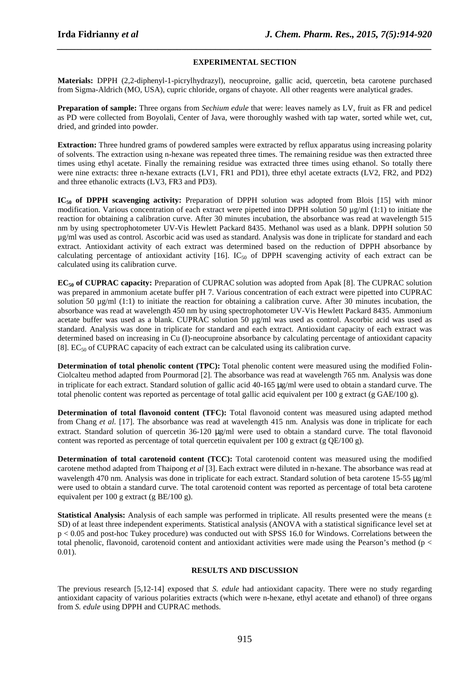## *\_\_\_\_\_\_\_\_\_\_\_\_\_\_\_\_\_\_\_\_\_\_\_\_\_\_\_\_\_\_\_\_\_\_\_\_\_\_\_\_\_\_\_\_\_\_\_\_\_\_\_\_\_\_\_\_\_\_\_\_\_\_\_\_\_\_\_\_\_\_\_\_\_\_\_\_\_\_* **EXPERIMENTAL SECTION**

**Materials:** DPPH (2,2-diphenyl-1-picrylhydrazyl), neocuproine, gallic acid, quercetin, beta carotene purchased from Sigma-Aldrich (MO, USA), cupric chloride, organs of chayote. All other reagents were analytical grades.

**Preparation of sample:** Three organs from *Sechium edule* that were: leaves namely as LV, fruit as FR and pedicel as PD were collected from Boyolali, Center of Java, were thoroughly washed with tap water, sorted while wet, cut, dried, and grinded into powder.

**Extraction:** Three hundred grams of powdered samples were extracted by reflux apparatus using increasing polarity of solvents. The extraction using n-hexane was repeated three times. The remaining residue was then extracted three times using ethyl acetate. Finally the remaining residue was extracted three times using ethanol. So totally there were nine extracts: three n-hexane extracts (LV1, FR1 and PD1), three ethyl acetate extracts (LV2, FR2, and PD2) and three ethanolic extracts (LV3, FR3 and PD3).

**IC50 of DPPH scavenging activity:** Preparation of DPPH solution was adopted from Blois [15] with minor modification. Various concentration of each extract were pipetted into DPPH solution 50  $\mu\text{g/ml}$  (1:1) to initiate the reaction for obtaining a calibration curve. After 30 minutes incubation, the absorbance was read at wavelength 515 nm by using spectrophotometer UV-Vis Hewlett Packard 8435. Methanol was used as a blank. DPPH solution 50 µg/ml was used as control. Ascorbic acid was used as standard. Analysis was done in triplicate for standard and each extract. Antioxidant activity of each extract was determined based on the reduction of DPPH absorbance by calculating percentage of antioxidant activity  $[16]$ . IC<sub>50</sub> of DPPH scavenging activity of each extract can be calculated using its calibration curve.

**EC50 of CUPRAC capacity:** Preparation of CUPRAC solution was adopted from Apak [8]. The CUPRAC solution was prepared in ammonium acetate buffer pH 7. Various concentration of each extract were pipetted into CUPRAC solution 50 µg/ml (1:1) to initiate the reaction for obtaining a calibration curve. After 30 minutes incubation, the absorbance was read at wavelength 450 nm by using spectrophotometer UV-Vis Hewlett Packard 8435. Ammonium acetate buffer was used as a blank. CUPRAC solution 50 µg/ml was used as control. Ascorbic acid was used as standard. Analysis was done in triplicate for standard and each extract. Antioxidant capacity of each extract was determined based on increasing in Cu (I)-neocuproine absorbance by calculating percentage of antioxidant capacity [8].  $EC_{50}$  of CUPRAC capacity of each extract can be calculated using its calibration curve.

**Determination of total phenolic content (TPC):** Total phenolic content were measured using the modified Folin-Ciolcalteu method adapted from Pourmorad [2]. The absorbance was read at wavelength 765 nm. Analysis was done in triplicate for each extract. Standard solution of gallic acid 40-165 µg/ml were used to obtain a standard curve. The total phenolic content was reported as percentage of total gallic acid equivalent per 100 g extract (g GAE/100 g).

**Determination of total flavonoid content (TFC):** Total flavonoid content was measured using adapted method from Chang *et al.* [17]. The absorbance was read at wavelength 415 nm. Analysis was done in triplicate for each extract. Standard solution of quercetin  $36-120 \mu g/ml$  were used to obtain a standard curve. The total flavonoid content was reported as percentage of total quercetin equivalent per 100 g extract (g  $QE/100$  g).

**Determination of total carotenoid content (TCC):** Total carotenoid content was measured using the modified carotene method adapted from Thaipong *et al* [3]. Each extract were diluted in n-hexane. The absorbance was read at wavelength 470 nm. Analysis was done in triplicate for each extract. Standard solution of beta carotene 15-55  $\mu$ g/ml were used to obtain a standard curve. The total carotenoid content was reported as percentage of total beta carotene equivalent per 100 g extract (g BE/100 g).

**Statistical Analysis:** Analysis of each sample was performed in triplicate. All results presented were the means  $(\pm)$ SD) of at least three independent experiments. Statistical analysis (ANOVA with a statistical significance level set at p < 0.05 and post-hoc Tukey procedure) was conducted out with SPSS 16.0 for Windows. Correlations between the total phenolic, flavonoid, carotenoid content and antioxidant activities were made using the Pearson's method (p < 0.01).

### **RESULTS AND DISCUSSION**

The previous research [5,12-14] exposed that *S. edule* had antioxidant capacity. There were no study regarding antioxidant capacity of various polarities extracts (which were n-hexane, ethyl acetate and ethanol) of three organs from *S. edule* using DPPH and CUPRAC methods.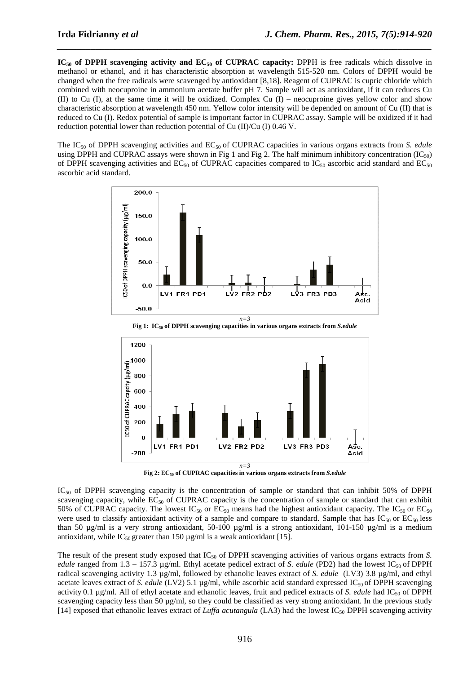**IC50 of DPPH scavenging activity and EC50 of CUPRAC capacity:** DPPH is free radicals which dissolve in methanol or ethanol, and it has characteristic absorption at wavelength 515-520 nm. Colors of DPPH would be changed when the free radicals were scavenged by antioxidant [8,18]. Reagent of CUPRAC is cupric chloride which combined with neocuproine in ammonium acetate buffer pH 7. Sample will act as antioxidant, if it can reduces Cu (II) to Cu (I), at the same time it will be oxidized. Complex Cu (I) – neocuproine gives yellow color and show characteristic absorption at wavelength 450 nm. Yellow color intensity will be depended on amount of Cu (II) that is reduced to Cu (I). Redox potential of sample is important factor in CUPRAC assay. Sample will be oxidized if it had reduction potential lower than reduction potential of Cu (II)/Cu (I) 0.46 V.

*\_\_\_\_\_\_\_\_\_\_\_\_\_\_\_\_\_\_\_\_\_\_\_\_\_\_\_\_\_\_\_\_\_\_\_\_\_\_\_\_\_\_\_\_\_\_\_\_\_\_\_\_\_\_\_\_\_\_\_\_\_\_\_\_\_\_\_\_\_\_\_\_\_\_\_\_\_\_*

The IC50 of DPPH scavenging activities and EC50 of CUPRAC capacities in various organs extracts from *S. edule* using DPPH and CUPRAC assays were shown in Fig 1 and Fig 2. The half minimum inhibitory concentration  $(IC_{50})$ of DPPH scavenging activities and  $EC_{50}$  of CUPRAC capacities compared to  $IC_{50}$  ascorbic acid standard and  $EC_{50}$ ascorbic acid standard.



**Fig 1: IC50 of DPPH scavenging capacities in various organs extracts from** *S.edule*



**Fig 2:** E**C50 of CUPRAC capacities in various organs extracts from** *S.edule*

IC<sub>50</sub> of DPPH scavenging capacity is the concentration of sample or standard that can inhibit 50% of DPPH scavenging capacity, while  $EC_{50}$  of CUPRAC capacity is the concentration of sample or standard that can exhibit 50% of CUPRAC capacity. The lowest  $IC_{50}$  or  $EC_{50}$  means had the highest antioxidant capacity. The  $IC_{50}$  or  $EC_{50}$ were used to classify antioxidant activity of a sample and compare to standard. Sample that has  $IC_{50}$  or  $EC_{50}$  less than 50  $\mu$ g/ml is a very strong antioxidant, 50-100  $\mu$ g/ml is a strong antioxidant, 101-150  $\mu$ g/ml is a medium antioxidant, while IC<sub>50</sub> greater than 150  $\mu$ g/ml is a weak antioxidant [15].

The result of the present study exposed that IC<sub>50</sub> of DPPH scavenging activities of various organs extracts from *S*. *edule* ranged from 1.3 – 157.3 µg/ml. Ethyl acetate pedicel extract of *S. edule* (PD2) had the lowest IC<sub>50</sub> of DPPH radical scavenging activity 1.3 µg/ml, followed by ethanolic leaves extract of *S. edule* (LV3) 3.8 µg/ml, and ethyl acetate leaves extract of *S. edule* (LV2) 5.1 µg/ml, while ascorbic acid standard expressed IC<sub>50</sub> of DPPH scavenging activity 0.1 µg/ml. All of ethyl acetate and ethanolic leaves, fruit and pedicel extracts of *S. edule* had IC<sub>50</sub> of DPPH scavenging capacity less than 50  $\mu$ g/ml, so they could be classified as very strong antioxidant. In the previous study [14] exposed that ethanolic leaves extract of *Luffa acutangula* (LA3) had the lowest  $IC_{50}$  DPPH scavenging activity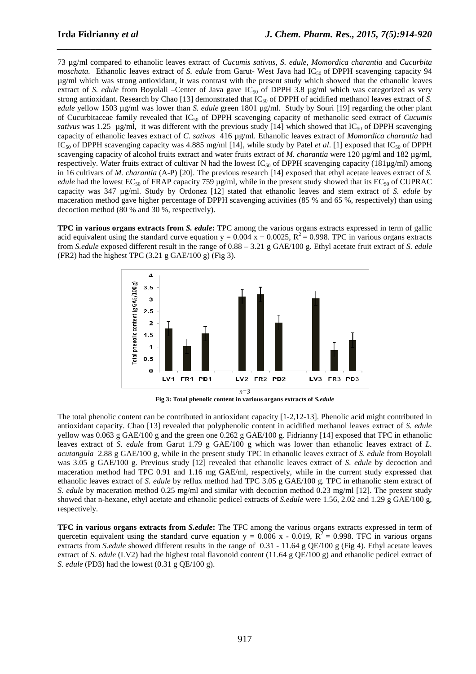73 µg/ml compared to ethanolic leaves extract of *Cucumis sativus, S. edule, Momordica charantia* and *Cucurbita moschata.* Ethanolic leaves extract of *S. edule* from Garut- West Java had IC<sub>50</sub> of DPPH scavenging capacity 94 µg/ml which was strong antioxidant, it was contrast with the present study which showed that the ethanolic leaves extract of *S. edule* from Boyolali –Center of Java gave  $IC_{50}$  of DPPH 3.8  $\mu$ g/ml which was categorized as very strong antioxidant. Research by Chao [13] demonstrated that IC<sub>50</sub> of DPPH of acidified methanol leaves extract of *S*. *edule* yellow 1503 μg/ml was lower than *S. edule* green 1801 μg/ml. Study by Souri [19] regarding the other plant of Cucurbitaceae family revealed that IC50 of DPPH scavenging capacity of methanolic seed extract of *Cucumis sativus* was 1.25  $\mu$ g/ml, it was different with the previous study [14] which showed that IC<sub>50</sub> of DPPH scavenging capacity of ethanolic leaves extract of *C. sativus* 416 µg/ml. Ethanolic leaves extract of *Momordica charantia* had  $IC_{50}$  of DPPH scavenging capacity was 4.885 mg/ml [14], while study by Patel *et al.* [1] exposed that  $IC_{50}$  of DPPH scavenging capacity of alcohol fruits extract and water fruits extract of *M. charantia* were 120 µg/ml and 182 µg/ml, respectively. Water fruits extract of cultivar N had the lowest IC<sub>50</sub> of DPPH scavenging capacity (181µg/ml) among in 16 cultivars of *M. charantia* (A-P) [20]. The previous research [14] exposed that ethyl acetate leaves extract of *S. edule* had the lowest EC<sub>50</sub> of FRAP capacity 759 µg/ml, while in the present study showed that its EC<sub>50</sub> of CUPRAC capacity was 347 µg/ml. Study by Ordonez [12] stated that ethanolic leaves and stem extract of *S. edule* by maceration method gave higher percentage of DPPH scavenging activities (85 % and 65 %, respectively) than using decoction method (80 % and 30 %, respectively).

*\_\_\_\_\_\_\_\_\_\_\_\_\_\_\_\_\_\_\_\_\_\_\_\_\_\_\_\_\_\_\_\_\_\_\_\_\_\_\_\_\_\_\_\_\_\_\_\_\_\_\_\_\_\_\_\_\_\_\_\_\_\_\_\_\_\_\_\_\_\_\_\_\_\_\_\_\_\_*

**TPC in various organs extracts from** *S. edule***:** TPC among the various organs extracts expressed in term of gallic acid equivalent using the standard curve equation  $y = 0.004 x + 0.0025$ ,  $R^2 = 0.998$ . TPC in various organs extracts from *S.edule* exposed different result in the range of 0.88 – 3.21 g GAE/100 g. Ethyl acetate fruit extract of *S. edule*  (FR2) had the highest TPC  $(3.21 \text{ g } \text{GAE}/100 \text{ g})$  (Fig 3).



**Fig 3: Total phenolic content in various organs extracts of** *S.edule*

The total phenolic content can be contributed in antioxidant capacity [1-2,12-13]. Phenolic acid might contributed in antioxidant capacity. Chao [13] revealed that polyphenolic content in acidified methanol leaves extract of *S. edule* yellow was 0.063 g GAE/100 g and the green one 0.262 g GAE/100 g. Fidrianny [14] exposed that TPC in ethanolic leaves extract of *S. edule* from Garut 1.79 g GAE/100 g which was lower than ethanolic leaves extract of *L. acutangula* 2.88 g GAE/100 g, while in the present study TPC in ethanolic leaves extract of *S. edule* from Boyolali was 3.05 g GAE/100 g. Previous study [12] revealed that ethanolic leaves extract of *S. edule* by decoction and maceration method had TPC 0.91 and 1.16 mg GAE/ml, respectively, while in the current study expressed that ethanolic leaves extract of *S. edule* by reflux method had TPC 3.05 g GAE/100 g. TPC in ethanolic stem extract of *S. edule* by maceration method 0.25 mg/ml and similar with decoction method 0.23 mg/ml [12]. The present study showed that n-hexane, ethyl acetate and ethanolic pedicel extracts of *S.edule* were 1.56, 2.02 and 1.29 g GAE/100 g, respectively.

**TFC in various organs extracts from** *S.edule***:** The TFC among the various organs extracts expressed in term of quercetin equivalent using the standard curve equation y = 0.006 x - 0.019,  $R^2$  = 0.998. TFC in various organs extracts from *S.edule* showed different results in the range of 0.31 - 11.64 g QE/100 g (Fig 4). Ethyl acetate leaves extract of *S. edule* (LV2) had the highest total flavonoid content (11.64 g QE/100 g) and ethanolic pedicel extract of *S. edule* (PD3) had the lowest (0.31 g QE/100 g).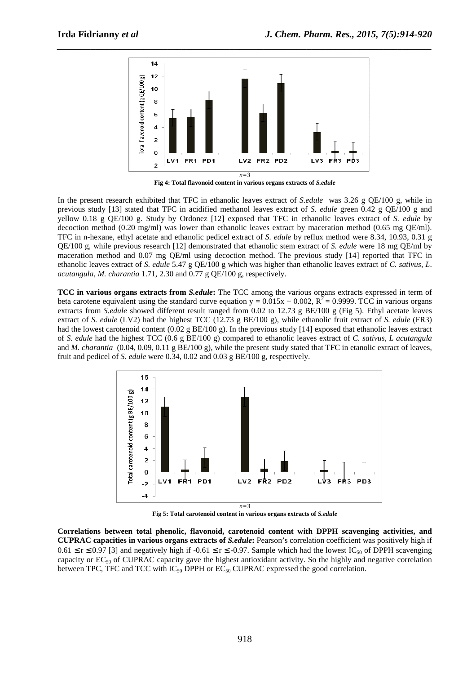

*\_\_\_\_\_\_\_\_\_\_\_\_\_\_\_\_\_\_\_\_\_\_\_\_\_\_\_\_\_\_\_\_\_\_\_\_\_\_\_\_\_\_\_\_\_\_\_\_\_\_\_\_\_\_\_\_\_\_\_\_\_\_\_\_\_\_\_\_\_\_\_\_\_\_\_\_\_\_*

**Fig 4: Total flavonoid content in various organs extracts of** *S.edule*

In the present research exhibited that TFC in ethanolic leaves extract of *S.edule* was 3.26 g QE/100 g, while in previous study [13] stated that TFC in acidified methanol leaves extract of *S. edule* green 0.42 g QE/100 g and yellow 0.18 g QE/100 g. Study by Ordonez [12] exposed that TFC in ethanolic leaves extract of *S. edule* by decoction method (0.20 mg/ml) was lower than ethanolic leaves extract by maceration method (0.65 mg QE/ml). TFC in n-hexane, ethyl acetate and ethanolic pedicel extract of *S. edule* by reflux method were 8.34, 10.93, 0.31 g QE/100 g, while previous research [12] demonstrated that ethanolic stem extract of *S. edule* were 18 mg QE/ml by maceration method and 0.07 mg QE/ml using decoction method. The previous study [14] reported that TFC in ethanolic leaves extract of *S. edule* 5.47 g QE/100 g which was higher than ethanolic leaves extract of *C. sativus, L*. *acutangula*, *M. charantia* 1.71, 2.30 and 0.77 g QE/100 g, respectively.

**TCC in various organs extracts from** *S.edule***:** The TCC among the various organs extracts expressed in term of beta carotene equivalent using the standard curve equation  $y = 0.015x + 0.002$ ,  $R^2 = 0.9999$ . TCC in various organs extracts from *S.edule* showed different result ranged from 0.02 to 12.73 g BE/100 g (Fig 5). Ethyl acetate leaves extract of *S. edule* (LV2) had the highest TCC (12.73 g BE/100 g), while ethanolic fruit extract of *S. edule* (FR3) had the lowest carotenoid content (0.02 g BE/100 g). In the previous study [14] exposed that ethanolic leaves extract of *S. edule* had the highest TCC (0.6 g BE/100 g) compared to ethanolic leaves extract of *C. sativus*, *L acutangula* and *M. charantia* (0.04, 0.09, 0.11 g BE/100 g), while the present study stated that TFC in etanolic extract of leaves, fruit and pedicel of *S. edule* were 0.34, 0.02 and 0.03 g BE/100 g, respectively.



**Fig 5: Total carotenoid content in various organs extracts of** *S.edule*

**Correlations between total phenolic, flavonoid, carotenoid content with DPPH scavenging activities, and CUPRAC capacities in various organs extracts of** *S.edule***:** Pearson's correlation coefficient was positively high if  $0.61 \le r \le 0.97$  [3] and negatively high if  $-0.61 \le r \le -0.97$ . Sample which had the lowest IC<sub>50</sub> of DPPH scavenging capacity or  $EC_{50}$  of CUPRAC capacity gave the highest antioxidant activity. So the highly and negative correlation between TPC, TFC and TCC with  $IC_{50}$  DPPH or  $EC_{50}$  CUPRAC expressed the good correlation.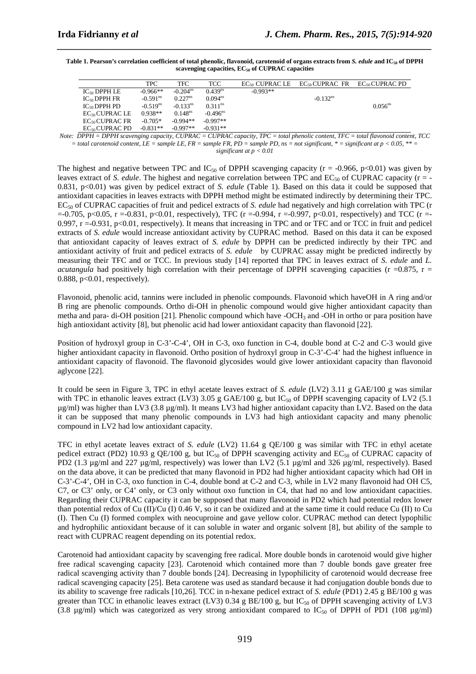| Table 1. Pearson's correlation coefficient of total phenolic, flavonoid, carotenoid of organs extracts from S. <i>edule</i> and IC <sub>50</sub> of DPPH |
|----------------------------------------------------------------------------------------------------------------------------------------------------------|
| scavenging capacities, $EC_{50}$ of CUPRAC capacities                                                                                                    |

*\_\_\_\_\_\_\_\_\_\_\_\_\_\_\_\_\_\_\_\_\_\_\_\_\_\_\_\_\_\_\_\_\_\_\_\_\_\_\_\_\_\_\_\_\_\_\_\_\_\_\_\_\_\_\_\_\_\_\_\_\_\_\_\_\_\_\_\_\_\_\_\_\_\_\_\_\_\_*

|                     | <b>TPC</b>             | TFC.                   | TCC                    |            | $EC_{50}$ CUPRAC LE $EC_{50}$ CUPRAC FR $EC_{50}$ CUPRAC PD |                       |
|---------------------|------------------------|------------------------|------------------------|------------|-------------------------------------------------------------|-----------------------|
| $IC_{50}$ DPPH LE   | $-0.966**$             | $-0.204$ <sup>ns</sup> | 0.439 <sup>ns</sup>    | $-0.993**$ |                                                             |                       |
| $IC_{50}$ DPPH FR   | $-0.591$ <sup>ns</sup> | $0.227$ <sup>ns</sup>  | $0.094^{ns}$           |            | $-0.132$ <sup>ns</sup>                                      |                       |
| $IC_{50}$ DPPH PD   | $-0.519$ <sup>ns</sup> | $-0.133$ <sup>ns</sup> | $0.311$ <sup>ns</sup>  |            |                                                             | $0.056$ <sup>ns</sup> |
| $EC_{50}$ CUPRAC LE | $0.938**$              | 0.148 <sup>ns</sup>    | $-0.496$ <sup>ns</sup> |            |                                                             |                       |
| $EC_{50}$ CUPRAC FR | $-0.705*$              | $-0.994**$             | $-0.997**$             |            |                                                             |                       |
| $EC_{50}$ CUPRAC PD | $-0.831**$             | $-0.997**$             | $-0.931**$             |            |                                                             |                       |

*Note: DPPH = DPPH scavenging capacity, CUPRAC = CUPRAC capacity, TPC = total phenolic content, TFC = total flavonoid content, TCC*   $=$  total carotenoid content, LE  $=$  sample LE, FR  $=$  sample FR, PD  $=$  sample PD, ns  $=$  not significant,  $* =$  significant at  $p < 0.05$ ,  $** =$ *significant at p < 0.01* 

The highest and negative between TPC and  $IC_{50}$  of DPPH scavenging capacity (r = -0.966, p<0.01) was given by leaves extract of *S. edule*. The highest and negative correlation between TPC and  $EC_{50}$  of CUPRAC capacity ( $r = -$ 0.831, p<0.01) was given by pedicel extract of *S. edule* (Table 1). Based on this data it could be supposed that antioxidant capacities in leaves extracts with DPPH method might be estimated indirectly by determining their TPC. EC50 of CUPRAC capacities of fruit and pedicel extracts of *S. edule* had negatively and high correlation with TPC (r  $=$ -0.705, p<0.05, r =-0.831, p<0.01, respectively), TFC (r =-0.994, r =-0.997, p<0.01, respectively) and TCC (r =-0.997,  $r = -0.931$ ,  $p < 0.01$ , respectively). It means that increasing in TPC and or TFC and or TCC in fruit and pedicel extracts of *S. edule* would increase antioxidant activity by CUPRAC method. Based on this data it can be exposed that antioxidant capacity of leaves extract of *S. edule* by DPPH can be predicted indirectly by their TPC and antioxidant activity of fruit and pedicel extracts of *S. edule* by CUPRAC assay might be predicted indirectly by measuring their TFC and or TCC. In previous study [14] reported that TPC in leaves extract of *S. edule* and *L. acutangula* had positively high correlation with their percentage of DPPH scavenging capacities ( $r = 0.875$ ,  $r =$ 0.888,  $p<0.01$ , respectively).

Flavonoid, phenolic acid, tannins were included in phenolic compounds. Flavonoid which haveOH in A ring and/or B ring are phenolic compounds. Ortho di-OH in phenolic compound would give higher antioxidant capacity than metha and para- di-OH position [21]. Phenolic compound which have  $-OCH<sub>3</sub>$  and  $-OH$  in ortho or para position have high antioxidant activity [8], but phenolic acid had lower antioxidant capacity than flavonoid [22].

Position of hydroxyl group in C-3'-C-4', OH in C-3, oxo function in C-4, double bond at C-2 and C-3 would give higher antioxidant capacity in flavonoid. Ortho position of hydroxyl group in C-3'-C-4' had the highest influence in antioxidant capacity of flavonoid. The flavonoid glycosides would give lower antioxidant capacity than flavonoid aglycone [22].

It could be seen in Figure 3, TPC in ethyl acetate leaves extract of *S. edule* (LV2) 3.11 g GAE/100 g was similar with TPC in ethanolic leaves extract (LV3) 3.05 g GAE/100 g, but  $IC_{50}$  of DPPH scavenging capacity of LV2 (5.1)  $\mu$ g/ml) was higher than LV3 (3.8  $\mu$ g/ml). It means LV3 had higher antioxidant capacity than LV2. Based on the data it can be supposed that many phenolic compounds in LV3 had high antioxidant capacity and many phenolic compound in LV2 had low antioxidant capacity.

TFC in ethyl acetate leaves extract of *S. edule* (LV2) 11.64 g QE/100 g was similar with TFC in ethyl acetate pedicel extract (PD2) 10.93 g QE/100 g, but IC<sub>50</sub> of DPPH scavenging activity and EC<sub>50</sub> of CUPRAC capacity of PD2 (1.3  $\mu$ g/ml and 227  $\mu$ g/ml, respectively) was lower than LV2 (5.1  $\mu$ g/ml and 326  $\mu$ g/ml, respectively). Based on the data above, it can be predicted that many flavonoid in PD2 had higher antioxidant capacity which had OH in C-3'-C-4', OH in C-3, oxo function in C-4, double bond at C-2 and C-3, while in LV2 many flavonoid had OH C5, C7, or C3' only, or C4' only, or C3 only without oxo function in C4, that had no and low antioxidant capacities. Regarding their CUPRAC capacity it can be supposed that many flavonoid in PD2 which had potential redox lower than potential redox of Cu (II)/Cu (I) 0.46 V, so it can be oxidized and at the same time it could reduce Cu (II) to Cu (I). Then Cu (I) formed complex with neocuproine and gave yellow color. CUPRAC method can detect lypophilic and hydrophilic antioxidant because of it can soluble in water and organic solvent [8], but ability of the sample to react with CUPRAC reagent depending on its potential redox.

Carotenoid had antioxidant capacity by scavenging free radical. More double bonds in carotenoid would give higher free radical scavenging capacity [23]. Carotenoid which contained more than 7 double bonds gave greater free radical scavenging activity than 7 double bonds [24]. Decreasing in lypophilicity of carotenoid would decrease free radical scavenging capacity [25]. Beta carotene was used as standard because it had conjugation double bonds due to its ability to scavenge free radicals [10,26]. TCC in n-hexane pedicel extract of *S. edule* (PD1) 2.45 g BE/100 g was greater than TCC in ethanolic leaves extract (LV3) 0.34 g BE/100 g, but  $IC_{50}$  of DPPH scavenging activity of LV3 (3.8  $\mu$ g/ml) which was categorized as very strong antioxidant compared to IC<sub>50</sub> of DPPH of PD1 (108  $\mu$ g/ml)